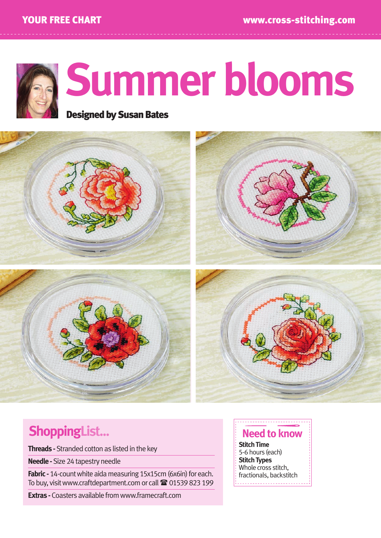

# **Summer blooms**

Designed by Susan Bates



# **ShoppingList...**

**Threads -** Stranded cotton as listed in the key

**Needle -** Size 24 tapestry needle

**Fabric -** 14-count white aida measuring 15x15cm (6x6in) for each. To buy, visit www.craftdepartment.com or call <sup>2</sup> 01539 823 199

**Extras -** Coasters available from www.framecraft.com

## **Need to know**

**Stitch Time**  5-6 hours (each) **Stitch Types**  Whole cross stitch. fractionals, backstitch